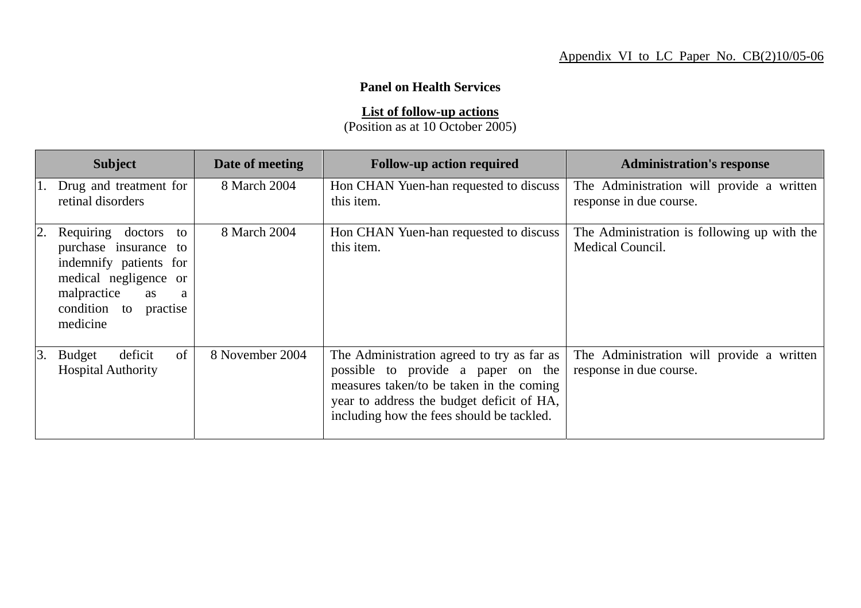## **Panel on Health Services**

**List of follow-up actions**

(Position as at 10 October 2005)

|    | <b>Subject</b>                                                                                                                                                        | Date of meeting | <b>Follow-up action required</b>                                                                                                                                                                                       | <b>Administration's response</b>                                     |
|----|-----------------------------------------------------------------------------------------------------------------------------------------------------------------------|-----------------|------------------------------------------------------------------------------------------------------------------------------------------------------------------------------------------------------------------------|----------------------------------------------------------------------|
|    | Drug and treatment for<br>retinal disorders                                                                                                                           | 8 March 2004    | Hon CHAN Yuen-han requested to discuss<br>this item.                                                                                                                                                                   | The Administration will provide a written<br>response in due course. |
|    | Requiring<br>doctors to<br>purchase insurance to<br>indemnify patients for<br>medical negligence or<br>malpractice<br>as<br>a<br>condition to<br>practise<br>medicine | 8 March 2004    | Hon CHAN Yuen-han requested to discuss<br>this item.                                                                                                                                                                   | The Administration is following up with the<br>Medical Council.      |
| 3. | of<br><b>Budget</b><br>deficit<br><b>Hospital Authority</b>                                                                                                           | 8 November 2004 | The Administration agreed to try as far as<br>possible to provide a paper on the<br>measures taken/to be taken in the coming<br>year to address the budget deficit of HA,<br>including how the fees should be tackled. | The Administration will provide a written<br>response in due course. |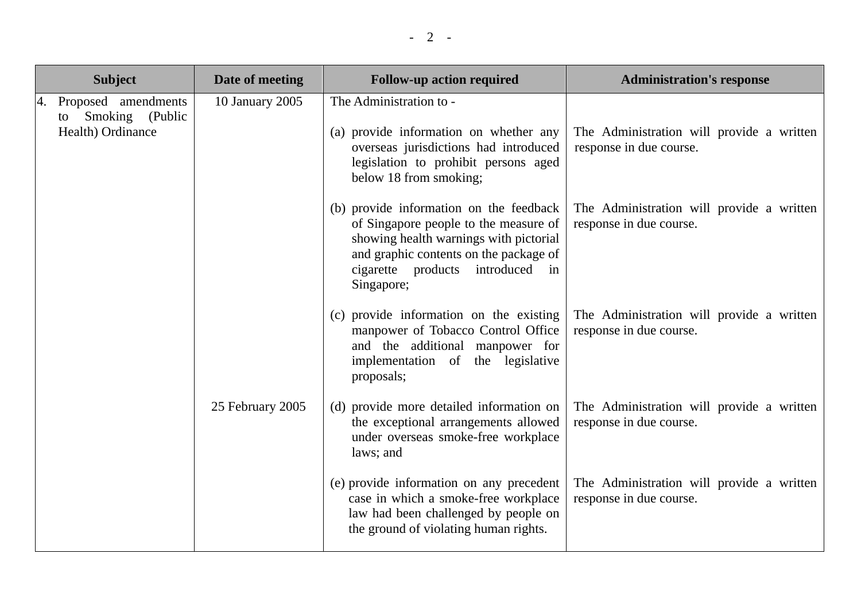|                                                                   | <b>Subject</b>  | Date of meeting                                                                                                                                                                                                        | <b>Follow-up action required</b>                                                                                                     | <b>Administration's response</b>                                     |
|-------------------------------------------------------------------|-----------------|------------------------------------------------------------------------------------------------------------------------------------------------------------------------------------------------------------------------|--------------------------------------------------------------------------------------------------------------------------------------|----------------------------------------------------------------------|
| Proposed amendments<br>Smoking (Public<br>to<br>Health) Ordinance | 10 January 2005 | The Administration to -<br>(a) provide information on whether any<br>overseas jurisdictions had introduced<br>legislation to prohibit persons aged<br>below 18 from smoking;                                           | The Administration will provide a written<br>response in due course.                                                                 |                                                                      |
|                                                                   |                 | (b) provide information on the feedback<br>of Singapore people to the measure of<br>showing health warnings with pictorial<br>and graphic contents on the package of<br>cigarette products introduced in<br>Singapore; | The Administration will provide a written<br>response in due course.                                                                 |                                                                      |
|                                                                   |                 | (c) provide information on the existing<br>manpower of Tobacco Control Office<br>and the additional manpower for<br>implementation of the legislative<br>proposals;                                                    | The Administration will provide a written<br>response in due course.                                                                 |                                                                      |
|                                                                   |                 | 25 February 2005                                                                                                                                                                                                       | (d) provide more detailed information on<br>the exceptional arrangements allowed<br>under overseas smoke-free workplace<br>laws; and | The Administration will provide a written<br>response in due course. |
|                                                                   |                 | (e) provide information on any precedent<br>case in which a smoke-free workplace<br>law had been challenged by people on<br>the ground of violating human rights.                                                      | The Administration will provide a written<br>response in due course.                                                                 |                                                                      |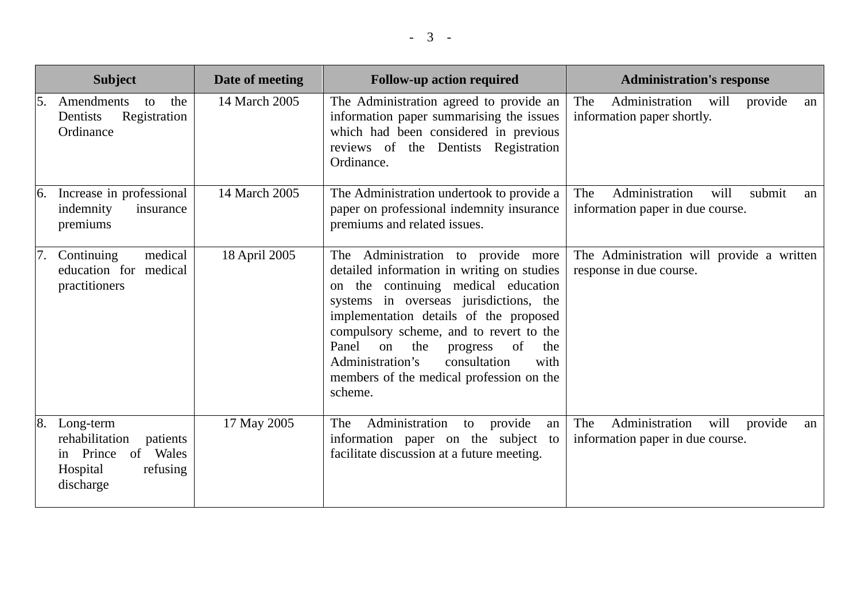|                   | <b>Subject</b>                                                                                        | Date of meeting | <b>Follow-up action required</b>                                                                                                                                                                                                                                                                                                                                                                         | <b>Administration's response</b>                                                   |
|-------------------|-------------------------------------------------------------------------------------------------------|-----------------|----------------------------------------------------------------------------------------------------------------------------------------------------------------------------------------------------------------------------------------------------------------------------------------------------------------------------------------------------------------------------------------------------------|------------------------------------------------------------------------------------|
| 5.                | Amendments<br>the<br>to<br>Registration<br>Dentists<br>Ordinance                                      | 14 March 2005   | The Administration agreed to provide an<br>information paper summarising the issues<br>which had been considered in previous<br>reviews of the Dentists Registration<br>Ordinance.                                                                                                                                                                                                                       | Administration<br>The<br>will<br>provide<br>an<br>information paper shortly.       |
| 6.                | Increase in professional<br>indemnity<br>insurance<br>premiums                                        | 14 March 2005   | The Administration undertook to provide a<br>paper on professional indemnity insurance<br>premiums and related issues.                                                                                                                                                                                                                                                                                   | Administration<br>will<br>submit<br>The<br>an<br>information paper in due course.  |
| $\overline{17}$ . | medical<br>Continuing<br>education for medical<br>practitioners                                       | 18 April 2005   | The Administration to provide more<br>detailed information in writing on studies<br>on the continuing medical education<br>systems in overseas jurisdictions, the<br>implementation details of the proposed<br>compulsory scheme, and to revert to the<br>Panel<br>on<br>of<br>the<br>progress<br>the<br>consultation<br>Administration's<br>with<br>members of the medical profession on the<br>scheme. | The Administration will provide a written<br>response in due course.               |
| 8.                | Long-term<br>rehabilitation<br>patients<br>in Prince<br>of Wales<br>refusing<br>Hospital<br>discharge | 17 May 2005     | Administration<br>The<br>provide<br>to<br>an<br>information paper on the subject<br>to<br>facilitate discussion at a future meeting.                                                                                                                                                                                                                                                                     | Administration<br>The<br>will<br>provide<br>an<br>information paper in due course. |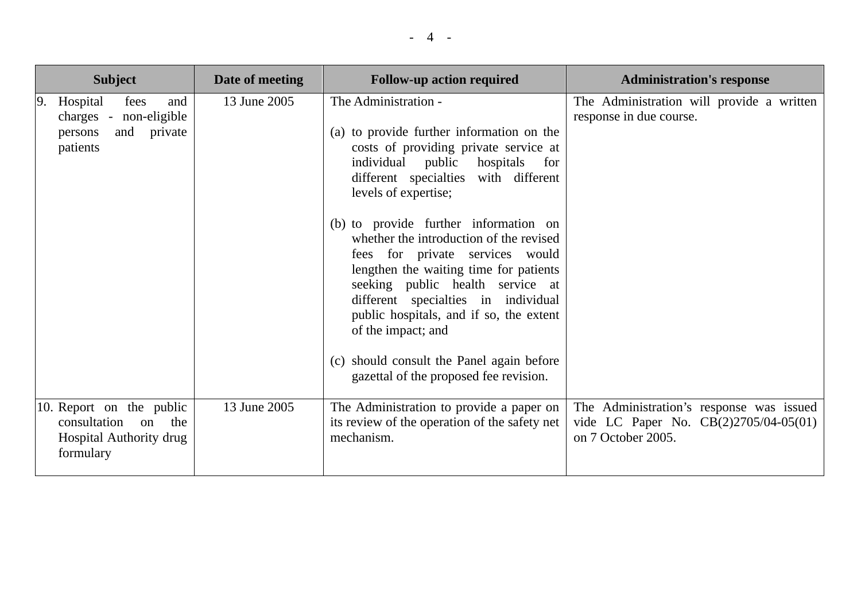| <b>Subject</b>                                                                                | Date of meeting | <b>Follow-up action required</b>                                                                                                                                                                                                                                                                                                                                                                                                                                                                                                                                                                                     | <b>Administration's response</b>                                                                        |
|-----------------------------------------------------------------------------------------------|-----------------|----------------------------------------------------------------------------------------------------------------------------------------------------------------------------------------------------------------------------------------------------------------------------------------------------------------------------------------------------------------------------------------------------------------------------------------------------------------------------------------------------------------------------------------------------------------------------------------------------------------------|---------------------------------------------------------------------------------------------------------|
| Hospital<br>9.<br>fees<br>and<br>charges - non-eligible<br>and private<br>persons<br>patients | 13 June 2005    | The Administration -<br>(a) to provide further information on the<br>costs of providing private service at<br>individual public hospitals<br>for<br>different specialties with different<br>levels of expertise;<br>(b) to provide further information on<br>whether the introduction of the revised<br>fees for private services would<br>lengthen the waiting time for patients<br>seeking public health service at<br>different specialties in individual<br>public hospitals, and if so, the extent<br>of the impact; and<br>(c) should consult the Panel again before<br>gazettal of the proposed fee revision. | The Administration will provide a written<br>response in due course.                                    |
| 10. Report on the public<br>consultation on the<br>Hospital Authority drug<br>formulary       | 13 June 2005    | The Administration to provide a paper on<br>its review of the operation of the safety net<br>mechanism.                                                                                                                                                                                                                                                                                                                                                                                                                                                                                                              | The Administration's response was issued<br>vide LC Paper No. CB(2)2705/04-05(01)<br>on 7 October 2005. |